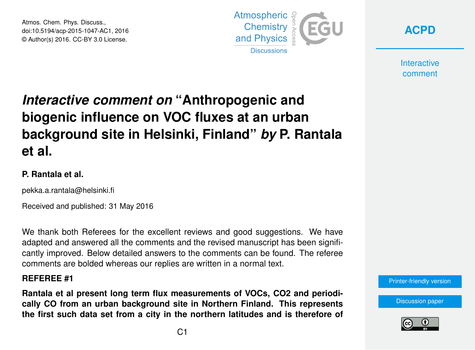Atmos. Chem. Phys. Discuss., doi:10.5194/acp-2015-1047-AC1, 2016 © Author(s) 2016. CC-BY 3.0 License.



**[ACPD](http://www.atmos-chem-phys-discuss.net/)**

**Interactive** comment

# *Interactive comment on* **"Anthropogenic and biogenic influence on VOC fluxes at an urban background site in Helsinki, Finland"** *by* **P. Rantala et al.**

### **P. Rantala et al.**

pekka.a.rantala@helsinki.fi

Received and published: 31 May 2016

We thank both Referees for the excellent reviews and good suggestions. We have adapted and answered all the comments and the revised manuscript has been significantly improved. Below detailed answers to the comments can be found. The referee comments are bolded whereas our replies are written in a normal text.

#### **REFEREE #1**

**Rantala et al present long term flux measurements of VOCs, CO2 and periodically CO from an urban background site in Northern Finland. This represents the first such data set from a city in the northern latitudes and is therefore of**



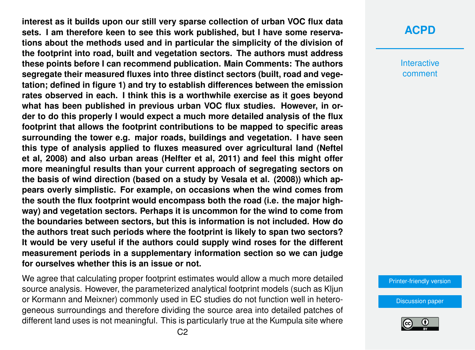**interest as it builds upon our still very sparse collection of urban VOC flux data sets. I am therefore keen to see this work published, but I have some reservations about the methods used and in particular the simplicity of the division of the footprint into road, built and vegetation sectors. The authors must address these points before I can recommend publication. Main Comments: The authors segregate their measured fluxes into three distinct sectors (built, road and vegetation; defined in figure 1) and try to establish differences between the emission rates observed in each. I think this is a worthwhile exercise as it goes beyond what has been published in previous urban VOC flux studies. However, in order to do this properly I would expect a much more detailed analysis of the flux footprint that allows the footprint contributions to be mapped to specific areas surrounding the tower e.g. major roads, buildings and vegetation. I have seen this type of analysis applied to fluxes measured over agricultural land (Neftel et al, 2008) and also urban areas (Helfter et al, 2011) and feel this might offer more meaningful results than your current approach of segregating sectors on the basis of wind direction (based on a study by Vesala et al. (2008)) which appears overly simplistic. For example, on occasions when the wind comes from the south the flux footprint would encompass both the road (i.e. the major highway) and vegetation sectors. Perhaps it is uncommon for the wind to come from the boundaries between sectors, but this is information is not included. How do the authors treat such periods where the footprint is likely to span two sectors? It would be very useful if the authors could supply wind roses for the different measurement periods in a supplementary information section so we can judge for ourselves whether this is an issue or not.**

We agree that calculating proper footprint estimates would allow a much more detailed source analysis. However, the parameterized analytical footprint models (such as Kljun or Kormann and Meixner) commonly used in EC studies do not function well in heterogeneous surroundings and therefore dividing the source area into detailed patches of different land uses is not meaningful. This is particularly true at the Kumpula site where

### **[ACPD](http://www.atmos-chem-phys-discuss.net/)**

**Interactive** comment

[Printer-friendly version](http://www.atmos-chem-phys-discuss.net/acp-2015-1047/acp-2015-1047-AC1-print.pdf)

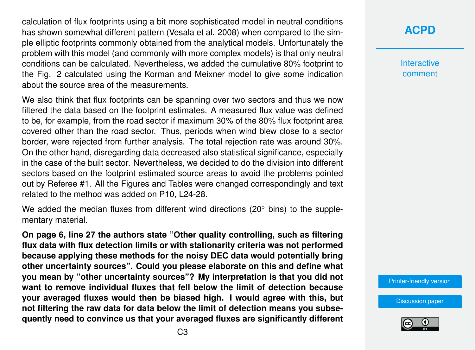calculation of flux footprints using a bit more sophisticated model in neutral conditions has shown somewhat different pattern (Vesala et al. 2008) when compared to the simple elliptic footprints commonly obtained from the analytical models. Unfortunately the problem with this model (and commonly with more complex models) is that only neutral conditions can be calculated. Nevertheless, we added the cumulative 80% footprint to the Fig. 2 calculated using the Korman and Meixner model to give some indication about the source area of the measurements.

We also think that flux footprints can be spanning over two sectors and thus we now filtered the data based on the footprint estimates. A measured flux value was defined to be, for example, from the road sector if maximum 30% of the 80% flux footprint area covered other than the road sector. Thus, periods when wind blew close to a sector border, were rejected from further analysis. The total rejection rate was around 30%. On the other hand, disregarding data decreased also statistical significance, especially in the case of the built sector. Nevertheless, we decided to do the division into different sectors based on the footprint estimated source areas to avoid the problems pointed out by Referee #1. All the Figures and Tables were changed correspondingly and text related to the method was added on P10, L24-28.

We added the median fluxes from different wind directions (20<sup>°</sup> bins) to the supplementary material.

**On page 6, line 27 the authors state "Other quality controlling, such as filtering flux data with flux detection limits or with stationarity criteria was not performed because applying these methods for the noisy DEC data would potentially bring other uncertainty sources". Could you please elaborate on this and define what you mean by "other uncertainty sources"? My interpretation is that you did not want to remove individual fluxes that fell below the limit of detection because your averaged fluxes would then be biased high. I would agree with this, but not filtering the raw data for data below the limit of detection means you subsequently need to convince us that your averaged fluxes are significantly different**

# **[ACPD](http://www.atmos-chem-phys-discuss.net/)**

**Interactive** comment

[Printer-friendly version](http://www.atmos-chem-phys-discuss.net/acp-2015-1047/acp-2015-1047-AC1-print.pdf)

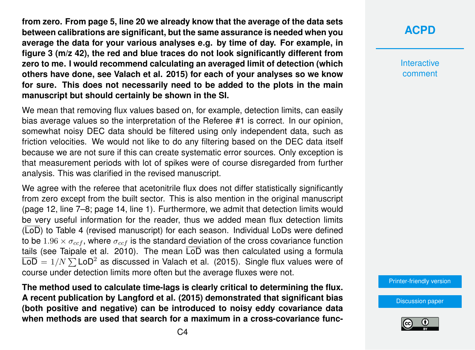**from zero. From page 5, line 20 we already know that the average of the data sets between calibrations are significant, but the same assurance is needed when you average the data for your various analyses e.g. by time of day. For example, in figure 3 (m/z 42), the red and blue traces do not look significantly different from zero to me. I would recommend calculating an averaged limit of detection (which others have done, see Valach et al. 2015) for each of your analyses so we know for sure. This does not necessarily need to be added to the plots in the main manuscript but should certainly be shown in the SI.**

We mean that removing flux values based on, for example, detection limits, can easily bias average values so the interpretation of the Referee #1 is correct. In our opinion, somewhat noisy DEC data should be filtered using only independent data, such as friction velocities. We would not like to do any filtering based on the DEC data itself because we are not sure if this can create systematic error sources. Only exception is that measurement periods with lot of spikes were of course disregarded from further analysis. This was clarified in the revised manuscript.

We agree with the referee that acetonitrile flux does not differ statistically significantly from zero except from the built sector. This is also mention in the original manuscript (page 12, line 7–8; page 14, line 1). Furthermore, we admit that detection limits would be very useful information for the reader, thus we added mean flux detection limits (LoD) to Table 4 (revised manuscript) for each season. Individual LoDs were defined to be 1.96  $\times \sigma_{ccf}$ , where  $\sigma_{ccf}$  is the standard deviation of the cross covariance function tails (see Taipale et al. 2010). The mean  $\overline{\text{LOD}}$  was then calculated using a formula  $\overline{\mathsf{LoD}}=1/N\sum\mathsf{LoD}^2$  as discussed in Valach et al. (2015). Single flux values were of course under detection limits more often but the average fluxes were not.

**The method used to calculate time-lags is clearly critical to determining the flux. A recent publication by Langford et al. (2015) demonstrated that significant bias (both positive and negative) can be introduced to noisy eddy covariance data when methods are used that search for a maximum in a cross-covariance func-** **[ACPD](http://www.atmos-chem-phys-discuss.net/)**

**Interactive** comment

[Printer-friendly version](http://www.atmos-chem-phys-discuss.net/acp-2015-1047/acp-2015-1047-AC1-print.pdf)

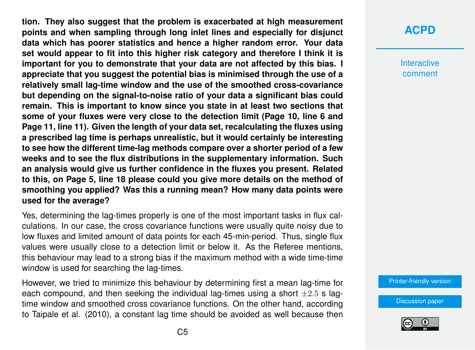**tion. They also suggest that the problem is exacerbated at high measurement points and when sampling through long inlet lines and especially for disjunct data which has poorer statistics and hence a higher random error. Your data set would appear to fit into this higher risk category and therefore I think it is important for you to demonstrate that your data are not affected by this bias. I appreciate that you suggest the potential bias is minimised through the use of a relatively small lag-time window and the use of the smoothed cross-covariance but depending on the signal-to-noise ratio of your data a significant bias could remain. This is important to know since you state in at least two sections that some of your fluxes were very close to the detection limit (Page 10, line 6 and Page 11, line 11). Given the length of your data set, recalculating the fluxes using a prescribed lag time is perhaps unrealistic, but it would certainly be interesting to see how the different time-lag methods compare over a shorter period of a few weeks and to see the flux distributions in the supplementary information. Such an analysis would give us further confidence in the fluxes you present. Related to this, on Page 5, line 18 please could you give more details on the method of smoothing you applied? Was this a running mean? How many data points were used for the average?**

Yes, determining the lag-times properly is one of the most important tasks in flux calculations. In our case, the cross covariance functions were usually quite noisy due to low fluxes and limited amount of data points for each 45-min-period. Thus, single flux values were usually close to a detection limit or below it. As the Referee mentions, this behaviour may lead to a strong bias if the maximum method with a wide time-time window is used for searching the lag-times.

However, we tried to minimize this behaviour by determining first a mean lag-time for each compound, and then seeking the individual lag-times using a short  $\pm 2.5$  s lagtime window and smoothed cross covariance functions. On the other hand, according to Taipale et al. (2010), a constant lag time should be avoided as well because then

## **[ACPD](http://www.atmos-chem-phys-discuss.net/)**

**Interactive** comment

[Printer-friendly version](http://www.atmos-chem-phys-discuss.net/acp-2015-1047/acp-2015-1047-AC1-print.pdf)

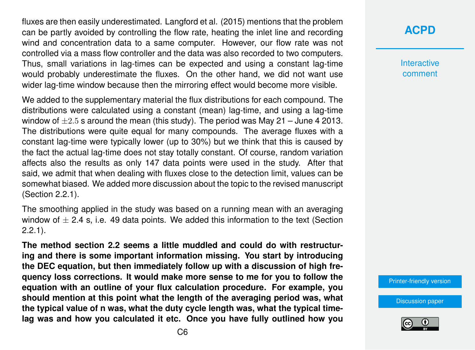fluxes are then easily underestimated. Langford et al. (2015) mentions that the problem can be partly avoided by controlling the flow rate, heating the inlet line and recording wind and concentration data to a same computer. However, our flow rate was not controlled via a mass flow controller and the data was also recorded to two computers. Thus, small variations in lag-times can be expected and using a constant lag-time would probably underestimate the fluxes. On the other hand, we did not want use wider lag-time window because then the mirroring effect would become more visible.

We added to the supplementary material the flux distributions for each compound. The distributions were calculated using a constant (mean) lag-time, and using a lag-time window of  $\pm 2.5$  s around the mean (this study). The period was May 21 – June 4 2013. The distributions were quite equal for many compounds. The average fluxes with a constant lag-time were typically lower (up to 30%) but we think that this is caused by the fact the actual lag-time does not stay totally constant. Of course, random variation affects also the results as only 147 data points were used in the study. After that said, we admit that when dealing with fluxes close to the detection limit, values can be somewhat biased. We added more discussion about the topic to the revised manuscript (Section 2.2.1).

The smoothing applied in the study was based on a running mean with an averaging window of  $\pm$  2.4 s, i.e. 49 data points. We added this information to the text (Section 2.2.1).

**The method section 2.2 seems a little muddled and could do with restructuring and there is some important information missing. You start by introducing the DEC equation, but then immediately follow up with a discussion of high frequency loss corrections. It would make more sense to me for you to follow the equation with an outline of your flux calculation procedure. For example, you should mention at this point what the length of the averaging period was, what the typical value of n was, what the duty cycle length was, what the typical timelag was and how you calculated it etc. Once you have fully outlined how you**

# **[ACPD](http://www.atmos-chem-phys-discuss.net/)**

**Interactive** comment

[Printer-friendly version](http://www.atmos-chem-phys-discuss.net/acp-2015-1047/acp-2015-1047-AC1-print.pdf)

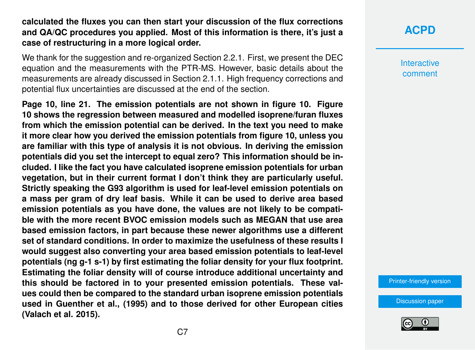**calculated the fluxes you can then start your discussion of the flux corrections and QA/QC procedures you applied. Most of this information is there, it's just a case of restructuring in a more logical order.**

We thank for the suggestion and re-organized Section 2.2.1. First, we present the DEC equation and the measurements with the PTR-MS. However, basic details about the measurements are already discussed in Section 2.1.1. High frequency corrections and potential flux uncertainties are discussed at the end of the section.

**Page 10, line 21. The emission potentials are not shown in figure 10. Figure 10 shows the regression between measured and modelled isoprene/furan fluxes from which the emission potential can be derived. In the text you need to make it more clear how you derived the emission potentials from figure 10, unless you are familiar with this type of analysis it is not obvious. In deriving the emission potentials did you set the intercept to equal zero? This information should be included. I like the fact you have calculated isoprene emission potentials for urban vegetation, but in their current format I don't think they are particularly useful. Strictly speaking the G93 algorithm is used for leaf-level emission potentials on a mass per gram of dry leaf basis. While it can be used to derive area based emission potentials as you have done, the values are not likely to be compatible with the more recent BVOC emission models such as MEGAN that use area based emission factors, in part because these newer algorithms use a different set of standard conditions. In order to maximize the usefulness of these results I would suggest also converting your area based emission potentials to leaf-level potentials (ng g-1 s-1) by first estimating the foliar density for your flux footprint. Estimating the foliar density will of course introduce additional uncertainty and this should be factored in to your presented emission potentials. These values could then be compared to the standard urban isoprene emission potentials used in Guenther et al., (1995) and to those derived for other European cities (Valach et al. 2015).**

**Interactive** comment

[Printer-friendly version](http://www.atmos-chem-phys-discuss.net/acp-2015-1047/acp-2015-1047-AC1-print.pdf)

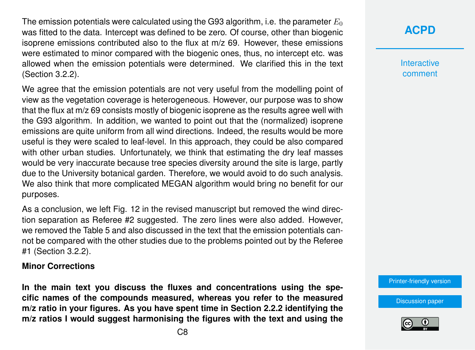The emission potentials were calculated using the G93 algorithm, i.e. the parameter  $E_0$ was fitted to the data. Intercept was defined to be zero. Of course, other than biogenic isoprene emissions contributed also to the flux at m/z 69. However, these emissions were estimated to minor compared with the biogenic ones, thus, no intercept etc. was allowed when the emission potentials were determined. We clarified this in the text (Section 3.2.2).

We agree that the emission potentials are not very useful from the modelling point of view as the vegetation coverage is heterogeneous. However, our purpose was to show that the flux at m/z 69 consists mostly of biogenic isoprene as the results agree well with the G93 algorithm. In addition, we wanted to point out that the (normalized) isoprene emissions are quite uniform from all wind directions. Indeed, the results would be more useful is they were scaled to leaf-level. In this approach, they could be also compared with other urban studies. Unfortunately, we think that estimating the dry leaf masses would be very inaccurate because tree species diversity around the site is large, partly due to the University botanical garden. Therefore, we would avoid to do such analysis. We also think that more complicated MEGAN algorithm would bring no benefit for our purposes.

As a conclusion, we left Fig. 12 in the revised manuscript but removed the wind direction separation as Referee #2 suggested. The zero lines were also added. However, we removed the Table 5 and also discussed in the text that the emission potentials cannot be compared with the other studies due to the problems pointed out by the Referee #1 (Section 3.2.2).

#### **Minor Corrections**

**In the main text you discuss the fluxes and concentrations using the specific names of the compounds measured, whereas you refer to the measured m/z ratio in your figures. As you have spent time in Section 2.2.2 identifying the m/z ratios I would suggest harmonising the figures with the text and using the**

# **[ACPD](http://www.atmos-chem-phys-discuss.net/)**

**Interactive** comment

[Printer-friendly version](http://www.atmos-chem-phys-discuss.net/acp-2015-1047/acp-2015-1047-AC1-print.pdf)

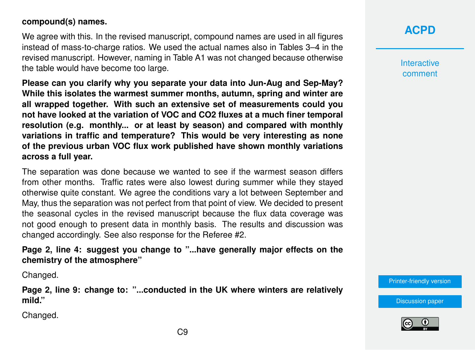#### **compound(s) names.**

We agree with this. In the revised manuscript, compound names are used in all figures instead of mass-to-charge ratios. We used the actual names also in Tables 3–4 in the revised manuscript. However, naming in Table A1 was not changed because otherwise the table would have become too large.

**Please can you clarify why you separate your data into Jun-Aug and Sep-May? While this isolates the warmest summer months, autumn, spring and winter are all wrapped together. With such an extensive set of measurements could you not have looked at the variation of VOC and CO2 fluxes at a much finer temporal resolution (e.g. monthly... or at least by season) and compared with monthly variations in traffic and temperature? This would be very interesting as none of the previous urban VOC flux work published have shown monthly variations across a full year.**

The separation was done because we wanted to see if the warmest season differs from other months. Traffic rates were also lowest during summer while they stayed otherwise quite constant. We agree the conditions vary a lot between September and May, thus the separation was not perfect from that point of view. We decided to present the seasonal cycles in the revised manuscript because the flux data coverage was not good enough to present data in monthly basis. The results and discussion was changed accordingly. See also response for the Referee #2.

**Page 2, line 4: suggest you change to "...have generally major effects on the chemistry of the atmosphere"**

Changed.

**Page 2, line 9: change to: "...conducted in the UK where winters are relatively mild."**

Changed.

# **[ACPD](http://www.atmos-chem-phys-discuss.net/)**

**Interactive** comment

[Printer-friendly version](http://www.atmos-chem-phys-discuss.net/acp-2015-1047/acp-2015-1047-AC1-print.pdf)

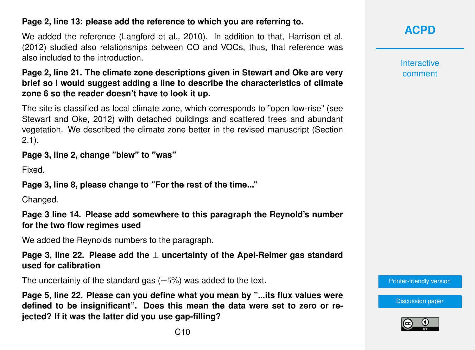### **Page 2, line 13: please add the reference to which you are referring to.**

We added the reference (Langford et al., 2010). In addition to that, Harrison et al. (2012) studied also relationships between CO and VOCs, thus, that reference was also included to the introduction.

#### **Page 2, line 21. The climate zone descriptions given in Stewart and Oke are very brief so I would suggest adding a line to describe the characteristics of climate zone 6 so the reader doesn't have to look it up.**

The site is classified as local climate zone, which corresponds to "open low-rise" (see Stewart and Oke, 2012) with detached buildings and scattered trees and abundant vegetation. We described the climate zone better in the revised manuscript (Section 2.1).

### **Page 3, line 2, change "blew" to "was"**

Fixed.

#### **Page 3, line 8, please change to "For the rest of the time..."**

Changed.

#### **Page 3 line 14. Please add somewhere to this paragraph the Reynold's number for the two flow regimes used**

We added the Reynolds numbers to the paragraph.

#### **Page 3, line 22. Please add the** ± **uncertainty of the Apel-Reimer gas standard used for calibration**

The uncertainty of the standard gas  $(\pm 5\%)$  was added to the text.

**Page 5, line 22. Please can you define what you mean by "...its flux values were defined to be insignificant". Does this mean the data were set to zero or rejected? If it was the latter did you use gap-filling?**

**[ACPD](http://www.atmos-chem-phys-discuss.net/)**

**Interactive** comment

[Printer-friendly version](http://www.atmos-chem-phys-discuss.net/acp-2015-1047/acp-2015-1047-AC1-print.pdf)

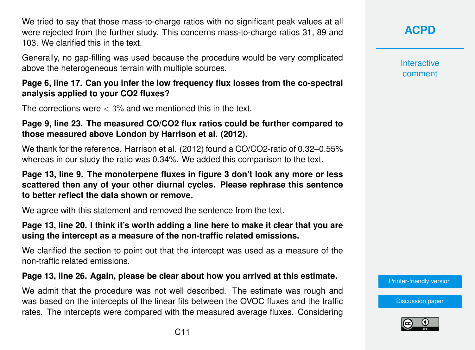We tried to say that those mass-to-charge ratios with no significant peak values at all were rejected from the further study. This concerns mass-to-charge ratios 31, 89 and 103. We clarified this in the text.

Generally, no gap-filling was used because the procedure would be very complicated above the heterogeneous terrain with multiple sources.

#### **Page 6, line 17. Can you infer the low frequency flux losses from the co-spectral analysis applied to your CO2 fluxes?**

The corrections were  $<$  3% and we mentioned this in the text.

#### **Page 9, line 23. The measured CO/CO2 flux ratios could be further compared to those measured above London by Harrison et al. (2012).**

We thank for the reference. Harrison et al. (2012) found a CO/CO2-ratio of 0.32–0.55% whereas in our study the ratio was 0.34%. We added this comparison to the text.

**Page 13, line 9. The monoterpene fluxes in figure 3 don't look any more or less scattered then any of your other diurnal cycles. Please rephrase this sentence to better reflect the data shown or remove.**

We agree with this statement and removed the sentence from the text.

#### **Page 13, line 20. I think it's worth adding a line here to make it clear that you are using the intercept as a measure of the non-traffic related emissions.**

We clarified the section to point out that the intercept was used as a measure of the non-traffic related emissions.

**Page 13, line 26. Again, please be clear about how you arrived at this estimate.**

We admit that the procedure was not well described. The estimate was rough and was based on the intercepts of the linear fits between the OVOC fluxes and the traffic rates. The intercepts were compared with the measured average fluxes. Considering **[ACPD](http://www.atmos-chem-phys-discuss.net/)**

**Interactive** comment

[Printer-friendly version](http://www.atmos-chem-phys-discuss.net/acp-2015-1047/acp-2015-1047-AC1-print.pdf)

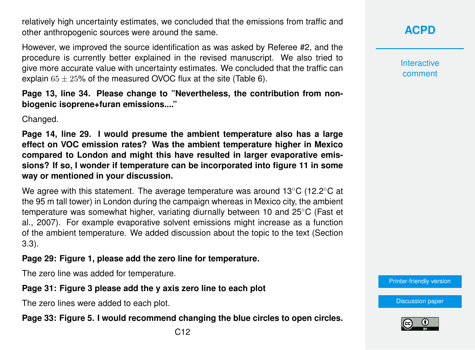relatively high uncertainty estimates, we concluded that the emissions from traffic and other anthropogenic sources were around the same.

However, we improved the source identification as was asked by Referee #2, and the procedure is currently better explained in the revised manuscript. We also tried to give more accurate value with uncertainty estimates. We concluded that the traffic can explain  $65 \pm 25$ % of the measured OVOC flux at the site (Table 6).

**Page 13, line 34. Please change to "Nevertheless, the contribution from nonbiogenic isoprene+furan emissions...."**

Changed.

**Page 14, line 29. I would presume the ambient temperature also has a large effect on VOC emission rates? Was the ambient temperature higher in Mexico compared to London and might this have resulted in larger evaporative emissions? If so, I wonder if temperature can be incorporated into figure 11 in some way or mentioned in your discussion.**

We agree with this statement. The average temperature was around 13<sup>°</sup>C (12.2<sup>°</sup>C at the 95 m tall tower) in London during the campaign whereas in Mexico city, the ambient temperature was somewhat higher, variating diurnally between 10 and 25°C (Fast et al., 2007). For example evaporative solvent emissions might increase as a function of the ambient temperature. We added discussion about the topic to the text (Section 3.3).

**Page 29: Figure 1, please add the zero line for temperature.**

The zero line was added for temperature.

**Page 31: Figure 3 please add the y axis zero line to each plot**

The zero lines were added to each plot.

**Page 33: Figure 5. I would recommend changing the blue circles to open circles.**

**Interactive** comment

[Printer-friendly version](http://www.atmos-chem-phys-discuss.net/acp-2015-1047/acp-2015-1047-AC1-print.pdf)

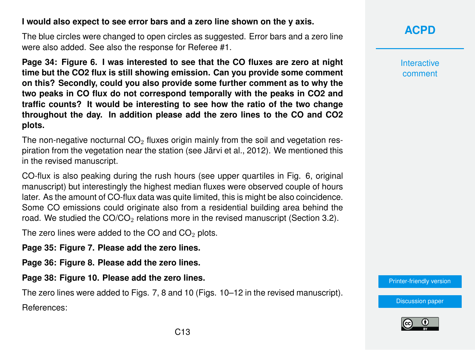#### **I would also expect to see error bars and a zero line shown on the y axis.**

The blue circles were changed to open circles as suggested. Error bars and a zero line were also added. See also the response for Referee #1.

**Page 34: Figure 6. I was interested to see that the CO fluxes are zero at night time but the CO2 flux is still showing emission. Can you provide some comment on this? Secondly, could you also provide some further comment as to why the two peaks in CO flux do not correspond temporally with the peaks in CO2 and traffic counts? It would be interesting to see how the ratio of the two change throughout the day. In addition please add the zero lines to the CO and CO2 plots.**

The non-negative nocturnal  $CO<sub>2</sub>$  fluxes origin mainly from the soil and vegetation respiration from the vegetation near the station (see Järvi et al., 2012). We mentioned this in the revised manuscript.

CO-flux is also peaking during the rush hours (see upper quartiles in Fig. 6, original manuscript) but interestingly the highest median fluxes were observed couple of hours later. As the amount of CO-flux data was quite limited, this is might be also coincidence. Some CO emissions could originate also from a residential building area behind the road. We studied the  $CO/CO<sub>2</sub>$  relations more in the revised manuscript (Section 3.2).

The zero lines were added to the CO and  $CO<sub>2</sub>$  plots.

**Page 35: Figure 7. Please add the zero lines.**

**Page 36: Figure 8. Please add the zero lines.**

**Page 38: Figure 10. Please add the zero lines.**

The zero lines were added to Figs. 7, 8 and 10 (Figs. 10–12 in the revised manuscript). References:

**[ACPD](http://www.atmos-chem-phys-discuss.net/)**

**Interactive** comment

[Printer-friendly version](http://www.atmos-chem-phys-discuss.net/acp-2015-1047/acp-2015-1047-AC1-print.pdf)

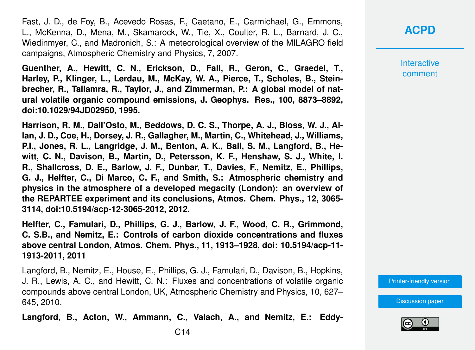Fast, J. D., de Foy, B., Acevedo Rosas, F., Caetano, E., Carmichael, G., Emmons, L., McKenna, D., Mena, M., Skamarock, W., Tie, X., Coulter, R. L., Barnard, J. C., Wiedinmyer, C., and Madronich, S.: A meteorological overview of the MILAGRO field campaigns, Atmospheric Chemistry and Physics, 7, 2007.

**Guenther, A., Hewitt, C. N., Erickson, D., Fall, R., Geron, C., Graedel, T., Harley, P., Klinger, L., Lerdau, M., McKay, W. A., Pierce, T., Scholes, B., Steinbrecher, R., Tallamra, R., Taylor, J., and Zimmerman, P.: A global model of natural volatile organic compound emissions, J. Geophys. Res., 100, 8873–8892, doi:10.1029/94JD02950, 1995.**

**Harrison, R. M., Dall'Osto, M., Beddows, D. C. S., Thorpe, A. J., Bloss, W. J., Allan, J. D., Coe, H., Dorsey, J. R., Gallagher, M., Martin, C., Whitehead, J., Williams, P.I., Jones, R. L., Langridge, J. M., Benton, A. K., Ball, S. M., Langford, B., Hewitt, C. N., Davison, B., Martin, D., Petersson, K. F., Henshaw, S. J., White, I. R., Shallcross, D. E., Barlow, J. F., Dunbar, T., Davies, F., Nemitz, E., Phillips, G. J., Helfter, C., Di Marco, C. F., and Smith, S.: Atmospheric chemistry and physics in the atmosphere of a developed megacity (London): an overview of the REPARTEE experiment and its conclusions, Atmos. Chem. Phys., 12, 3065- 3114, doi:10.5194/acp-12-3065-2012, 2012.**

**Helfter, C., Famulari, D., Phillips, G. J., Barlow, J. F., Wood, C. R., Grimmond, C. S.B., and Nemitz, E.: Controls of carbon dioxide concentrations and fluxes above central London, Atmos. Chem. Phys., 11, 1913–1928, doi: 10.5194/acp-11- 1913-2011, 2011**

Langford, B., Nemitz, E., House, E., Phillips, G. J., Famulari, D., Davison, B., Hopkins, J. R., Lewis, A. C., and Hewitt, C. N.: Fluxes and concentrations of volatile organic compounds above central London, UK, Atmospheric Chemistry and Physics, 10, 627– 645, 2010.

**Langford, B., Acton, W., Ammann, C., Valach, A., and Nemitz, E.: Eddy-**

### **[ACPD](http://www.atmos-chem-phys-discuss.net/)**

**Interactive** comment

[Printer-friendly version](http://www.atmos-chem-phys-discuss.net/acp-2015-1047/acp-2015-1047-AC1-print.pdf)

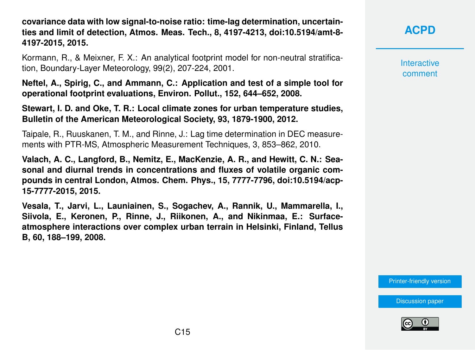**covariance data with low signal-to-noise ratio: time-lag determination, uncertainties and limit of detection, Atmos. Meas. Tech., 8, 4197-4213, doi:10.5194/amt-8- 4197-2015, 2015.**

Kormann, R., & Meixner, F. X.: An analytical footprint model for non-neutral stratification, Boundary-Layer Meteorology, 99(2), 207-224, 2001.

**Neftel, A., Spirig, C., and Ammann, C.: Application and test of a simple tool for operational footprint evaluations, Environ. Pollut., 152, 644–652, 2008.**

**Stewart, I. D. and Oke, T. R.: Local climate zones for urban temperature studies, Bulletin of the American Meteorological Society, 93, 1879-1900, 2012.**

Taipale, R., Ruuskanen, T. M., and Rinne, J.: Lag time determination in DEC measurements with PTR-MS, Atmospheric Measurement Techniques, 3, 853–862, 2010.

**Valach, A. C., Langford, B., Nemitz, E., MacKenzie, A. R., and Hewitt, C. N.: Seasonal and diurnal trends in concentrations and fluxes of volatile organic compounds in central London, Atmos. Chem. Phys., 15, 7777-7796, doi:10.5194/acp-15-7777-2015, 2015.**

**Vesala, T., Jarvi, L., Launiainen, S., Sogachev, A., Rannik, U., Mammarella, I., Siivola, E., Keronen, P., Rinne, J., Riikonen, A., and Nikinmaa, E.: Surfaceatmosphere interactions over complex urban terrain in Helsinki, Finland, Tellus B, 60, 188–199, 2008.**

**[ACPD](http://www.atmos-chem-phys-discuss.net/)**

Interactive comment

[Printer-friendly version](http://www.atmos-chem-phys-discuss.net/acp-2015-1047/acp-2015-1047-AC1-print.pdf)

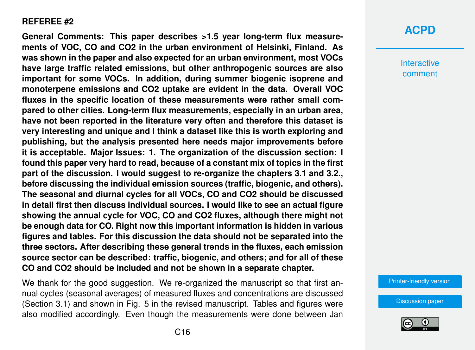#### **REFEREE #2**

**General Comments: This paper describes >1.5 year long-term flux measurements of VOC, CO and CO2 in the urban environment of Helsinki, Finland. As was shown in the paper and also expected for an urban environment, most VOCs have large traffic related emissions, but other anthropogenic sources are also important for some VOCs. In addition, during summer biogenic isoprene and monoterpene emissions and CO2 uptake are evident in the data. Overall VOC fluxes in the specific location of these measurements were rather small compared to other cities. Long-term flux measurements, especially in an urban area, have not been reported in the literature very often and therefore this dataset is very interesting and unique and I think a dataset like this is worth exploring and publishing, but the analysis presented here needs major improvements before it is acceptable. Major Issues: 1. The organization of the discussion section: I found this paper very hard to read, because of a constant mix of topics in the first part of the discussion. I would suggest to re-organize the chapters 3.1 and 3.2., before discussing the individual emission sources (traffic, biogenic, and others). The seasonal and diurnal cycles for all VOCs, CO and CO2 should be discussed in detail first then discuss individual sources. I would like to see an actual figure showing the annual cycle for VOC, CO and CO2 fluxes, although there might not be enough data for CO. Right now this important information is hidden in various figures and tables. For this discussion the data should not be separated into the three sectors. After describing these general trends in the fluxes, each emission source sector can be described: traffic, biogenic, and others; and for all of these CO and CO2 should be included and not be shown in a separate chapter.**

We thank for the good suggestion. We re-organized the manuscript so that first annual cycles (seasonal averages) of measured fluxes and concentrations are discussed (Section 3.1) and shown in Fig. 5 in the revised manuscript. Tables and figures were also modified accordingly. Even though the measurements were done between Jan

# **[ACPD](http://www.atmos-chem-phys-discuss.net/)**

**Interactive** comment

[Printer-friendly version](http://www.atmos-chem-phys-discuss.net/acp-2015-1047/acp-2015-1047-AC1-print.pdf)

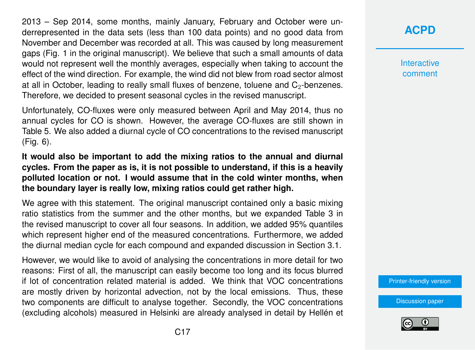2013 – Sep 2014, some months, mainly January, February and October were underrepresented in the data sets (less than 100 data points) and no good data from November and December was recorded at all. This was caused by long measurement gaps (Fig. 1 in the original manuscript). We believe that such a small amounts of data would not represent well the monthly averages, especially when taking to account the effect of the wind direction. For example, the wind did not blew from road sector almost at all in October, leading to really small fluxes of benzene, toluene and  $C_2$ -benzenes. Therefore, we decided to present seasonal cycles in the revised manuscript.

Unfortunately, CO-fluxes were only measured between April and May 2014, thus no annual cycles for CO is shown. However, the average CO-fluxes are still shown in Table 5. We also added a diurnal cycle of CO concentrations to the revised manuscript (Fig. 6).

**It would also be important to add the mixing ratios to the annual and diurnal cycles. From the paper as is, it is not possible to understand, if this is a heavily polluted location or not. I would assume that in the cold winter months, when the boundary layer is really low, mixing ratios could get rather high.**

We agree with this statement. The original manuscript contained only a basic mixing ratio statistics from the summer and the other months, but we expanded Table 3 in the revised manuscript to cover all four seasons. In addition, we added 95% quantiles which represent higher end of the measured concentrations. Furthermore, we added the diurnal median cycle for each compound and expanded discussion in Section 3.1.

However, we would like to avoid of analysing the concentrations in more detail for two reasons: First of all, the manuscript can easily become too long and its focus blurred if lot of concentration related material is added. We think that VOC concentrations are mostly driven by horizontal advection, not by the local emissions. Thus, these two components are difficult to analyse together. Secondly, the VOC concentrations (excluding alcohols) measured in Helsinki are already analysed in detail by Hellén et **[ACPD](http://www.atmos-chem-phys-discuss.net/)**

**Interactive** comment

[Printer-friendly version](http://www.atmos-chem-phys-discuss.net/acp-2015-1047/acp-2015-1047-AC1-print.pdf)

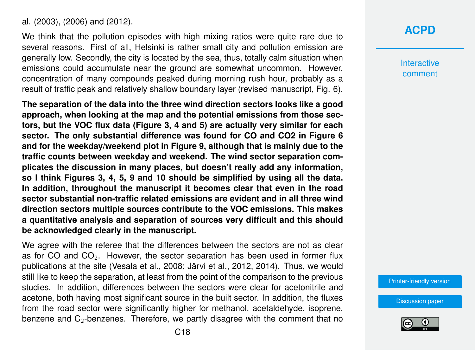al. (2003), (2006) and (2012).

We think that the pollution episodes with high mixing ratios were quite rare due to several reasons. First of all, Helsinki is rather small city and pollution emission are generally low. Secondly, the city is located by the sea, thus, totally calm situation when emissions could accumulate near the ground are somewhat uncommon. However, concentration of many compounds peaked during morning rush hour, probably as a result of traffic peak and relatively shallow boundary layer (revised manuscript, Fig. 6).

**The separation of the data into the three wind direction sectors looks like a good approach, when looking at the map and the potential emissions from those sectors, but the VOC flux data (Figure 3, 4 and 5) are actually very similar for each sector. The only substantial difference was found for CO and CO2 in Figure 6 and for the weekday/weekend plot in Figure 9, although that is mainly due to the traffic counts between weekday and weekend. The wind sector separation complicates the discussion in many places, but doesn't really add any information, so I think Figures 3, 4, 5, 9 and 10 should be simplified by using all the data. In addition, throughout the manuscript it becomes clear that even in the road sector substantial non-traffic related emissions are evident and in all three wind direction sectors multiple sources contribute to the VOC emissions. This makes a quantitative analysis and separation of sources very difficult and this should be acknowledged clearly in the manuscript.**

We agree with the referee that the differences between the sectors are not as clear as for CO and  $CO<sub>2</sub>$ . However, the sector separation has been used in former flux publications at the site (Vesala et al., 2008; Järvi et al., 2012, 2014). Thus, we would still like to keep the separation, at least from the point of the comparison to the previous studies. In addition, differences between the sectors were clear for acetonitrile and acetone, both having most significant source in the built sector. In addition, the fluxes from the road sector were significantly higher for methanol, acetaldehyde, isoprene, benzene and  $C_2$ -benzenes. Therefore, we partly disagree with the comment that no

### **[ACPD](http://www.atmos-chem-phys-discuss.net/)**

**Interactive** comment

[Printer-friendly version](http://www.atmos-chem-phys-discuss.net/acp-2015-1047/acp-2015-1047-AC1-print.pdf)

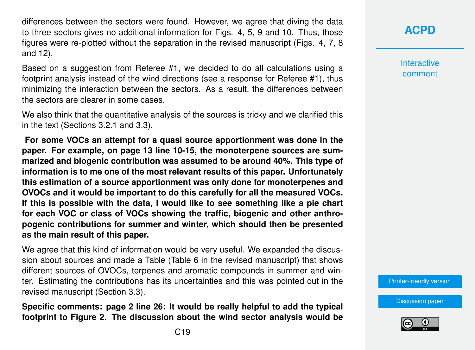differences between the sectors were found. However, we agree that diving the data to three sectors gives no additional information for Figs. 4, 5, 9 and 10. Thus, those figures were re-plotted without the separation in the revised manuscript (Figs. 4, 7, 8 and 12).

Based on a suggestion from Referee #1, we decided to do all calculations using a footprint analysis instead of the wind directions (see a response for Referee #1), thus minimizing the interaction between the sectors. As a result, the differences between the sectors are clearer in some cases.

We also think that the quantitative analysis of the sources is tricky and we clarified this in the text (Sections 3.2.1 and 3.3).

**For some VOCs an attempt for a quasi source apportionment was done in the paper. For example, on page 13 line 10-15, the monoterpene sources are summarized and biogenic contribution was assumed to be around 40%. This type of information is to me one of the most relevant results of this paper. Unfortunately this estimation of a source apportionment was only done for monoterpenes and OVOCs and it would be important to do this carefully for all the measured VOCs. If this is possible with the data, I would like to see something like a pie chart for each VOC or class of VOCs showing the traffic, biogenic and other anthropogenic contributions for summer and winter, which should then be presented as the main result of this paper.**

We agree that this kind of information would be very useful. We expanded the discussion about sources and made a Table (Table 6 in the revised manuscript) that shows different sources of OVOCs, terpenes and aromatic compounds in summer and winter. Estimating the contributions has its uncertainties and this was pointed out in the revised manuscript (Section 3.3).

**Specific comments: page 2 line 26: It would be really helpful to add the typical footprint to Figure 2. The discussion about the wind sector analysis would be**

**Interactive** comment

[Printer-friendly version](http://www.atmos-chem-phys-discuss.net/acp-2015-1047/acp-2015-1047-AC1-print.pdf)

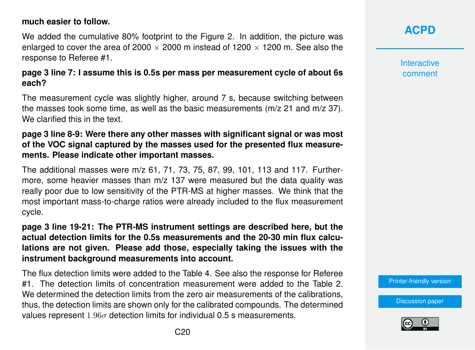#### **much easier to follow.**

We added the cumulative 80% footprint to the Figure 2. In addition, the picture was enlarged to cover the area of 2000  $\times$  2000 m instead of 1200  $\times$  1200 m. See also the response to Referee #1.

#### **page 3 line 7: I assume this is 0.5s per mass per measurement cycle of about 6s each?**

The measurement cycle was slightly higher, around 7 s, because switching between the masses took some time, as well as the basic measurements (m/z 21 and m/z 37). We clarified this in the text.

#### **page 3 line 8-9: Were there any other masses with significant signal or was most of the VOC signal captured by the masses used for the presented flux measurements. Please indicate other important masses.**

The additional masses were m/z 61, 71, 73, 75, 87, 99, 101, 113 and 117. Furthermore, some heavier masses than m/z 137 were measured but the data quality was really poor due to low sensitivity of the PTR-MS at higher masses. We think that the most important mass-to-charge ratios were already included to the flux measurement cycle.

**page 3 line 19-21: The PTR-MS instrument settings are described here, but the actual detection limits for the 0.5s measurements and the 20-30 min flux calculations are not given. Please add those, especially taking the issues with the instrument background measurements into account.**

The flux detection limits were added to the Table 4. See also the response for Referee #1. The detection limits of concentration measurement were added to the Table 2. We determined the detection limits from the zero air measurements of the calibrations, thus, the detection limits are shown only for the calibrated compounds. The determined values represent  $1.96\sigma$  detection limits for individual 0.5 s measurements.

# **[ACPD](http://www.atmos-chem-phys-discuss.net/)**

**Interactive** comment

[Printer-friendly version](http://www.atmos-chem-phys-discuss.net/acp-2015-1047/acp-2015-1047-AC1-print.pdf)

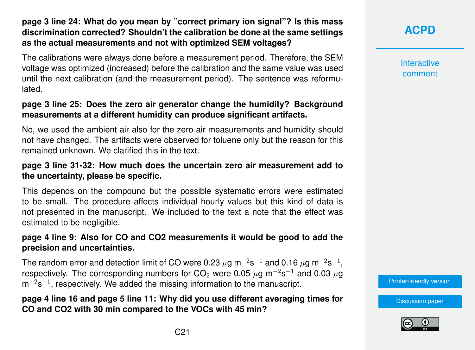### **page 3 line 24: What do you mean by "correct primary ion signal"? Is this mass discrimination corrected? Shouldn't the calibration be done at the same settings as the actual measurements and not with optimized SEM voltages?**

The calibrations were always done before a measurement period. Therefore, the SEM voltage was optimized (increased) before the calibration and the same value was used until the next calibration (and the measurement period). The sentence was reformulated.

#### **page 3 line 25: Does the zero air generator change the humidity? Background measurements at a different humidity can produce significant artifacts.**

No, we used the ambient air also for the zero air measurements and humidity should not have changed. The artifacts were observed for toluene only but the reason for this remained unknown. We clarified this in the text.

#### **page 3 line 31-32: How much does the uncertain zero air measurement add to the uncertainty, please be specific.**

This depends on the compound but the possible systematic errors were estimated to be small. The procedure affects individual hourly values but this kind of data is not presented in the manuscript. We included to the text a note that the effect was estimated to be negligible.

#### **page 4 line 9: Also for CO and CO2 measurements it would be good to add the precision and uncertainties.**

The random error and detection limit of CO were 0.23  $\mu$ g m $^{-2}$ s $^{-1}$  and 0.16  $\mu$ g m $^{-2}$ s $^{-1},$ respectively. The corresponding numbers for CO $_2$  were 0.05  $\mu$ g m $^{-2}$ s $^{-1}$  and 0.03  $\mu$ g  $m^{-2}s^{-1}$ , respectively. We added the missing information to the manuscript.

#### **page 4 line 16 and page 5 line 11: Why did you use different averaging times for CO and CO2 with 30 min compared to the VOCs with 45 min?**

**[ACPD](http://www.atmos-chem-phys-discuss.net/)**

**Interactive** comment

[Printer-friendly version](http://www.atmos-chem-phys-discuss.net/acp-2015-1047/acp-2015-1047-AC1-print.pdf)

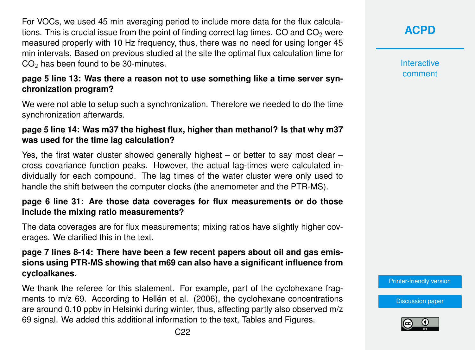For VOCs, we used 45 min averaging period to include more data for the flux calculations. This is crucial issue from the point of finding correct lag times. CO and  $CO<sub>2</sub>$  were measured properly with 10 Hz frequency, thus, there was no need for using longer 45 min intervals. Based on previous studied at the site the optimal flux calculation time for  $CO<sub>2</sub>$  has been found to be 30-minutes.

#### **page 5 line 13: Was there a reason not to use something like a time server synchronization program?**

We were not able to setup such a synchronization. Therefore we needed to do the time synchronization afterwards.

#### **page 5 line 14: Was m37 the highest flux, higher than methanol? Is that why m37 was used for the time lag calculation?**

Yes, the first water cluster showed generally highest  $-$  or better to say most clear  $$ cross covariance function peaks. However, the actual lag-times were calculated individually for each compound. The lag times of the water cluster were only used to handle the shift between the computer clocks (the anemometer and the PTR-MS).

#### **page 6 line 31: Are those data coverages for flux measurements or do those include the mixing ratio measurements?**

The data coverages are for flux measurements; mixing ratios have slightly higher coverages. We clarified this in the text.

#### **page 7 lines 8-14: There have been a few recent papers about oil and gas emissions using PTR-MS showing that m69 can also have a significant influence from cycloalkanes.**

We thank the referee for this statement. For example, part of the cyclohexane fragments to m/z 69. According to Hellén et al. (2006), the cyclohexane concentrations are around 0.10 ppbv in Helsinki during winter, thus, affecting partly also observed m/z 69 signal. We added this additional information to the text, Tables and Figures.

**[ACPD](http://www.atmos-chem-phys-discuss.net/)**

**Interactive** comment

[Printer-friendly version](http://www.atmos-chem-phys-discuss.net/acp-2015-1047/acp-2015-1047-AC1-print.pdf)

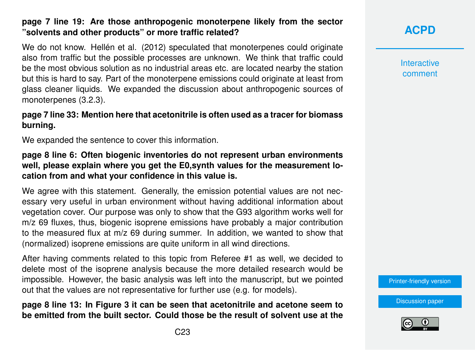#### **page 7 line 19: Are those anthropogenic monoterpene likely from the sector "solvents and other products" or more traffic related?**

We do not know. Hellén et al. (2012) speculated that monoterpenes could originate also from traffic but the possible processes are unknown. We think that traffic could be the most obvious solution as no industrial areas etc. are located nearby the station but this is hard to say. Part of the monoterpene emissions could originate at least from glass cleaner liquids. We expanded the discussion about anthropogenic sources of monoterpenes (3.2.3).

#### **page 7 line 33: Mention here that acetonitrile is often used as a tracer for biomass burning.**

We expanded the sentence to cover this information.

#### **page 8 line 6: Often biogenic inventories do not represent urban environments well, please explain where you get the E0,synth values for the measurement location from and what your confidence in this value is.**

We agree with this statement. Generally, the emission potential values are not necessary very useful in urban environment without having additional information about vegetation cover. Our purpose was only to show that the G93 algorithm works well for m/z 69 fluxes, thus, biogenic isoprene emissions have probably a major contribution to the measured flux at m/z 69 during summer. In addition, we wanted to show that (normalized) isoprene emissions are quite uniform in all wind directions.

After having comments related to this topic from Referee #1 as well, we decided to delete most of the isoprene analysis because the more detailed research would be impossible. However, the basic analysis was left into the manuscript, but we pointed out that the values are not representative for further use (e.g. for models).

**page 8 line 13: In Figure 3 it can be seen that acetonitrile and acetone seem to be emitted from the built sector. Could those be the result of solvent use at the** **[ACPD](http://www.atmos-chem-phys-discuss.net/)**

**Interactive** comment

[Printer-friendly version](http://www.atmos-chem-phys-discuss.net/acp-2015-1047/acp-2015-1047-AC1-print.pdf)

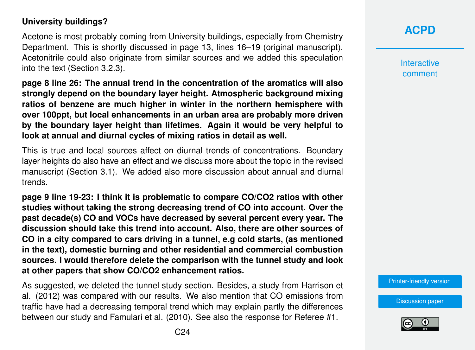#### **University buildings?**

Acetone is most probably coming from University buildings, especially from Chemistry Department. This is shortly discussed in page 13, lines 16–19 (original manuscript). Acetonitrile could also originate from similar sources and we added this speculation into the text (Section 3.2.3).

**page 8 line 26: The annual trend in the concentration of the aromatics will also strongly depend on the boundary layer height. Atmospheric background mixing ratios of benzene are much higher in winter in the northern hemisphere with over 100ppt, but local enhancements in an urban area are probably more driven by the boundary layer height than lifetimes. Again it would be very helpful to look at annual and diurnal cycles of mixing ratios in detail as well.**

This is true and local sources affect on diurnal trends of concentrations. Boundary layer heights do also have an effect and we discuss more about the topic in the revised manuscript (Section 3.1). We added also more discussion about annual and diurnal trends.

**page 9 line 19-23: I think it is problematic to compare CO/CO2 ratios with other studies without taking the strong decreasing trend of CO into account. Over the past decade(s) CO and VOCs have decreased by several percent every year. The discussion should take this trend into account. Also, there are other sources of CO in a city compared to cars driving in a tunnel, e.g cold starts, (as mentioned in the text), domestic burning and other residential and commercial combustion sources. I would therefore delete the comparison with the tunnel study and look at other papers that show CO/CO2 enhancement ratios.**

As suggested, we deleted the tunnel study section. Besides, a study from Harrison et al. (2012) was compared with our results. We also mention that CO emissions from traffic have had a decreasing temporal trend which may explain partly the differences between our study and Famulari et al. (2010). See also the response for Referee #1.

**Interactive** comment

[Printer-friendly version](http://www.atmos-chem-phys-discuss.net/acp-2015-1047/acp-2015-1047-AC1-print.pdf)

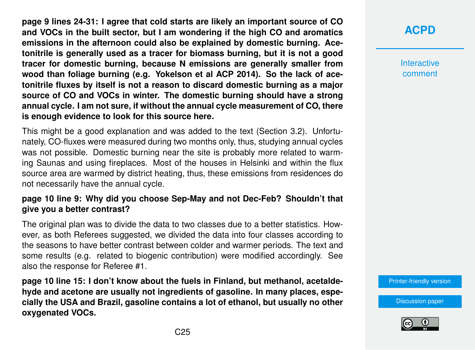**page 9 lines 24-31: I agree that cold starts are likely an important source of CO and VOCs in the built sector, but I am wondering if the high CO and aromatics emissions in the afternoon could also be explained by domestic burning. Acetonitrile is generally used as a tracer for biomass burning, but it is not a good tracer for domestic burning, because N emissions are generally smaller from wood than foliage burning (e.g. Yokelson et al ACP 2014). So the lack of acetonitrile fluxes by itself is not a reason to discard domestic burning as a major source of CO and VOCs in winter. The domestic burning should have a strong annual cycle. I am not sure, if without the annual cycle measurement of CO, there is enough evidence to look for this source here.**

This might be a good explanation and was added to the text (Section 3.2). Unfortunately, CO-fluxes were measured during two months only, thus, studying annual cycles was not possible. Domestic burning near the site is probably more related to warming Saunas and using fireplaces. Most of the houses in Helsinki and within the flux source area are warmed by district heating, thus, these emissions from residences do not necessarily have the annual cycle.

#### **page 10 line 9: Why did you choose Sep-May and not Dec-Feb? Shouldn't that give you a better contrast?**

The original plan was to divide the data to two classes due to a better statistics. However, as both Referees suggested, we divided the data into four classes according to the seasons to have better contrast between colder and warmer periods. The text and some results (e.g. related to biogenic contribution) were modified accordingly. See also the response for Referee #1.

**page 10 line 15: I don't know about the fuels in Finland, but methanol, acetaldehyde and acetone are usually not ingredients of gasoline. In many places, especially the USA and Brazil, gasoline contains a lot of ethanol, but usually no other oxygenated VOCs.**

# **[ACPD](http://www.atmos-chem-phys-discuss.net/)**

**Interactive** comment

[Printer-friendly version](http://www.atmos-chem-phys-discuss.net/acp-2015-1047/acp-2015-1047-AC1-print.pdf)

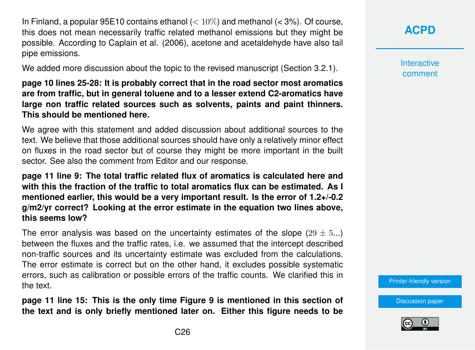In Finland, a popular 95E10 contains ethanol  $(< 10\%)$  and methanol  $(< 3\%)$ . Of course, this does not mean necessarily traffic related methanol emissions but they might be possible. According to Caplain et al. (2006), acetone and acetaldehyde have also tail pipe emissions.

We added more discussion about the topic to the revised manuscript (Section 3.2.1).

**page 10 lines 25-28: It is probably correct that in the road sector most aromatics are from traffic, but in general toluene and to a lesser extend C2-aromatics have large non traffic related sources such as solvents, paints and paint thinners. This should be mentioned here.**

We agree with this statement and added discussion about additional sources to the text. We believe that those additional sources should have only a relatively minor effect on fluxes in the road sector but of course they might be more important in the built sector. See also the comment from Editor and our response.

**page 11 line 9: The total traffic related flux of aromatics is calculated here and with this the fraction of the traffic to total aromatics flux can be estimated. As I mentioned earlier, this would be a very important result. Is the error of 1.2+/-0.2 g/m2/yr correct? Looking at the error estimate in the equation two lines above, this seems low?**

The error analysis was based on the uncertainty estimates of the slope  $(29 \pm 5...)$ between the fluxes and the traffic rates, i.e. we assumed that the intercept described non-traffic sources and its uncertainty estimate was excluded from the calculations. The error estimate is correct but on the other hand, it excludes possible systematic errors, such as calibration or possible errors of the traffic counts. We clarified this in the text.

**page 11 line 15: This is the only time Figure 9 is mentioned in this section of the text and is only briefly mentioned later on. Either this figure needs to be** **[ACPD](http://www.atmos-chem-phys-discuss.net/)**

**Interactive** comment

[Printer-friendly version](http://www.atmos-chem-phys-discuss.net/acp-2015-1047/acp-2015-1047-AC1-print.pdf)

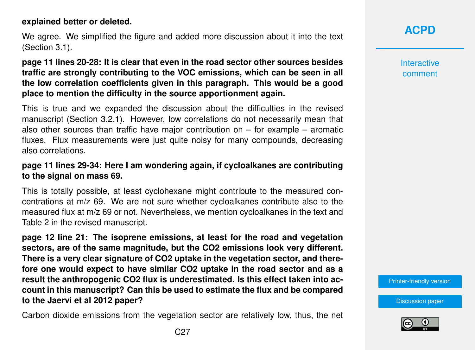#### **explained better or deleted.**

We agree. We simplified the figure and added more discussion about it into the text (Section 3.1).

**page 11 lines 20-28: It is clear that even in the road sector other sources besides traffic are strongly contributing to the VOC emissions, which can be seen in all the low correlation coefficients given in this paragraph. This would be a good place to mention the difficulty in the source apportionment again.**

This is true and we expanded the discussion about the difficulties in the revised manuscript (Section 3.2.1). However, low correlations do not necessarily mean that also other sources than traffic have major contribution on – for example – aromatic fluxes. Flux measurements were just quite noisy for many compounds, decreasing also correlations.

#### **page 11 lines 29-34: Here I am wondering again, if cycloalkanes are contributing to the signal on mass 69.**

This is totally possible, at least cyclohexane might contribute to the measured concentrations at m/z 69. We are not sure whether cycloalkanes contribute also to the measured flux at m/z 69 or not. Nevertheless, we mention cycloalkanes in the text and Table 2 in the revised manuscript.

**page 12 line 21: The isoprene emissions, at least for the road and vegetation sectors, are of the same magnitude, but the CO2 emissions look very different. There is a very clear signature of CO2 uptake in the vegetation sector, and therefore one would expect to have similar CO2 uptake in the road sector and as a result the anthropogenic CO2 flux is underestimated. Is this effect taken into account in this manuscript? Can this be used to estimate the flux and be compared to the Jaervi et al 2012 paper?**

Carbon dioxide emissions from the vegetation sector are relatively low, thus, the net

**Interactive** comment

[Printer-friendly version](http://www.atmos-chem-phys-discuss.net/acp-2015-1047/acp-2015-1047-AC1-print.pdf)

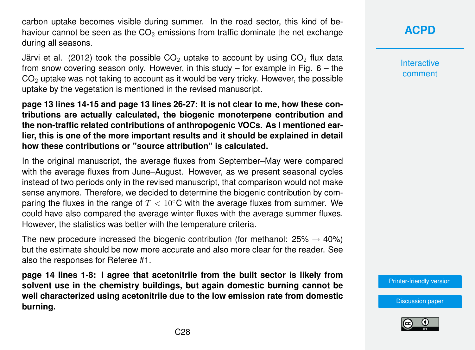carbon uptake becomes visible during summer. In the road sector, this kind of behaviour cannot be seen as the  $CO<sub>2</sub>$  emissions from traffic dominate the net exchange during all seasons.

Järvi et al. (2012) took the possible  $CO<sub>2</sub>$  uptake to account by using  $CO<sub>2</sub>$  flux data from snow covering season only. However, in this study – for example in Fig.  $6 -$  the  $CO<sub>2</sub>$  uptake was not taking to account as it would be very tricky. However, the possible uptake by the vegetation is mentioned in the revised manuscript.

**page 13 lines 14-15 and page 13 lines 26-27: It is not clear to me, how these contributions are actually calculated, the biogenic monoterpene contribution and the non-traffic related contributions of anthropogenic VOCs. As I mentioned earlier, this is one of the more important results and it should be explained in detail how these contributions or "source attribution" is calculated.**

In the original manuscript, the average fluxes from September–May were compared with the average fluxes from June–August. However, as we present seasonal cycles instead of two periods only in the revised manuscript, that comparison would not make sense anymore. Therefore, we decided to determine the biogenic contribution by comparing the fluxes in the range of  $T < 10^{\circ}$ C with the average fluxes from summer. We could have also compared the average winter fluxes with the average summer fluxes. However, the statistics was better with the temperature criteria.

The new procedure increased the biogenic contribution (for methanol:  $25\% \rightarrow 40\%$ ) but the estimate should be now more accurate and also more clear for the reader. See also the responses for Referee #1.

**page 14 lines 1-8: I agree that acetonitrile from the built sector is likely from solvent use in the chemistry buildings, but again domestic burning cannot be well characterized using acetonitrile due to the low emission rate from domestic burning.**

**[ACPD](http://www.atmos-chem-phys-discuss.net/)**

**Interactive** comment

[Printer-friendly version](http://www.atmos-chem-phys-discuss.net/acp-2015-1047/acp-2015-1047-AC1-print.pdf)

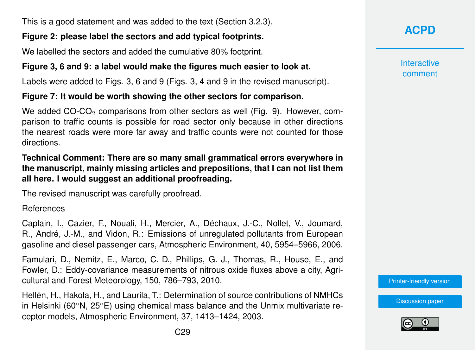This is a good statement and was added to the text (Section 3.2.3).

### **Figure 2: please label the sectors and add typical footprints.**

We labelled the sectors and added the cumulative 80% footprint.

### **Figure 3, 6 and 9: a label would make the figures much easier to look at.**

Labels were added to Figs. 3, 6 and 9 (Figs. 3, 4 and 9 in the revised manuscript).

### **Figure 7: It would be worth showing the other sectors for comparison.**

We added CO-CO<sub>2</sub> comparisons from other sectors as well (Fig. 9). However, comparison to traffic counts is possible for road sector only because in other directions the nearest roads were more far away and traffic counts were not counted for those directions.

#### **Technical Comment: There are so many small grammatical errors everywhere in the manuscript, mainly missing articles and prepositions, that I can not list them all here. I would suggest an additional proofreading.**

The revised manuscript was carefully proofread.

References

Caplain, I., Cazier, F., Nouali, H., Mercier, A., Déchaux, J.-C., Nollet, V., Joumard, R., André, J.-M., and Vidon, R.: Emissions of unregulated pollutants from European gasoline and diesel passenger cars, Atmospheric Environment, 40, 5954–5966, 2006.

Famulari, D., Nemitz, E., Marco, C. D., Phillips, G. J., Thomas, R., House, E., and Fowler, D.: Eddy-covariance measurements of nitrous oxide fluxes above a city, Agricultural and Forest Meteorology, 150, 786–793, 2010.

Hellén, H., Hakola, H., and Laurila, T.: Determination of source contributions of NMHCs in Helsinki (60◦N, 25◦E) using chemical mass balance and the Unmix multivariate receptor models, Atmospheric Environment, 37, 1413–1424, 2003.

**[ACPD](http://www.atmos-chem-phys-discuss.net/)**

**Interactive** comment

[Printer-friendly version](http://www.atmos-chem-phys-discuss.net/acp-2015-1047/acp-2015-1047-AC1-print.pdf)